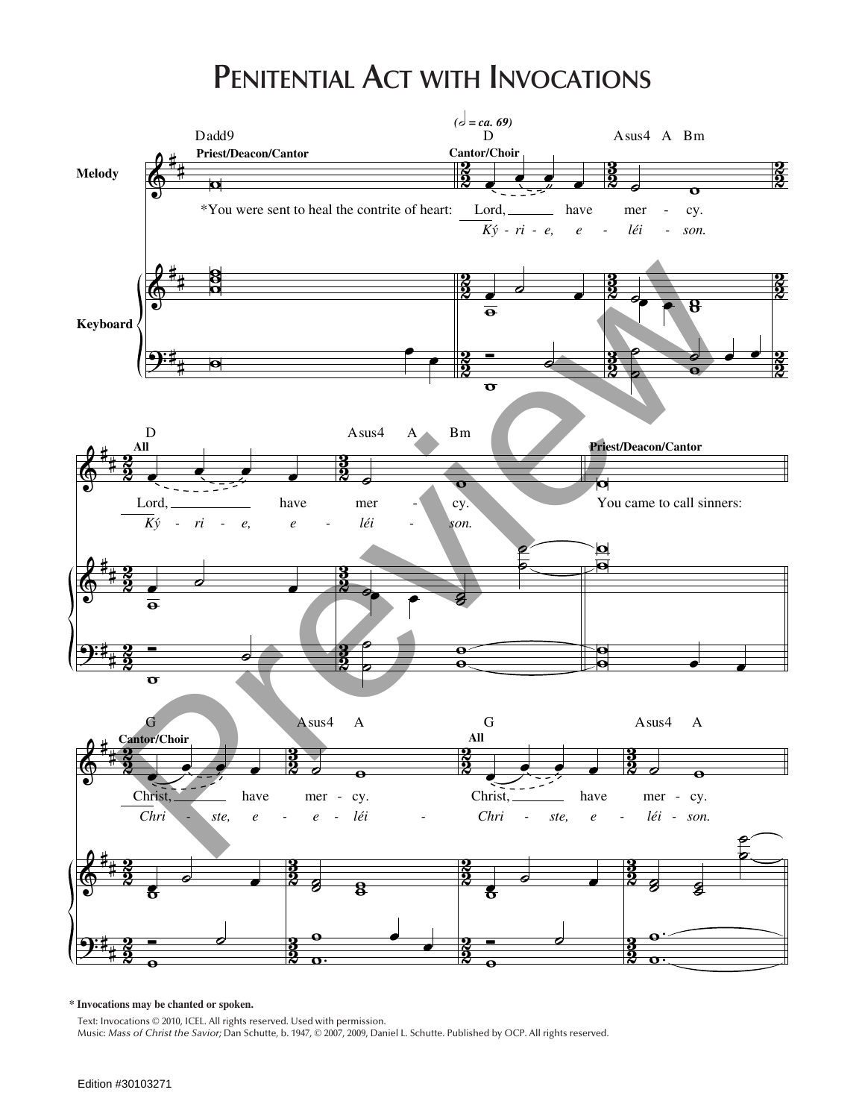## **Penitential Act with Invocations**



**\* Invocations may be chanted or spoken.**

Text: Invocations © 2010, ICEL. All rights reserved. Used with permission. Music: *Mass of Christ the Savior;* Dan Schutte, b. 1947, © 2007, 2009, Daniel L. Schutte. Published by OCP. All rights reserved.